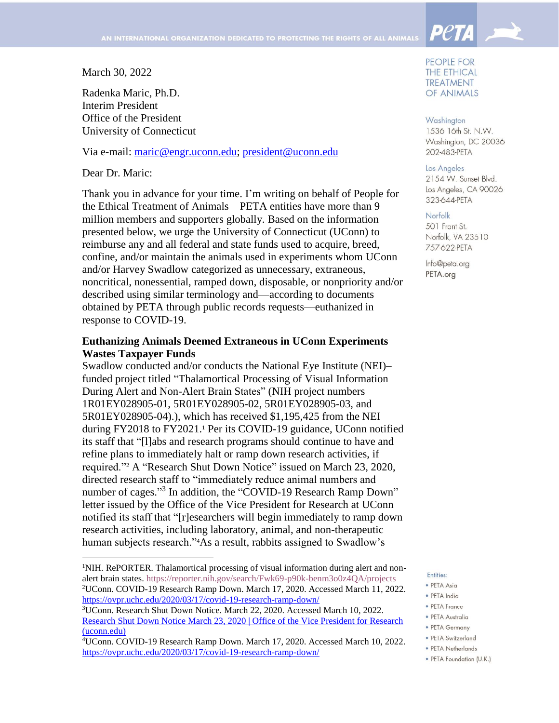March 30, 2022

Radenka Maric, Ph.D. Interim President Office of the President University of Connecticut

Via e-mail: [maric@engr.uconn.edu;](mailto:maric@engr.uconn.edu) [president@uconn.edu](mailto:president@uconn.edu)

Dear Dr. Maric:

 $\overline{a}$ 

Thank you in advance for your time. I'm writing on behalf of People for the Ethical Treatment of Animals—PETA entities have more than 9 million members and supporters globally. Based on the information presented below, we urge the University of Connecticut (UConn) to reimburse any and all federal and state funds used to acquire, breed, confine, and/or maintain the animals used in experiments whom UConn and/or Harvey Swadlow categorized as unnecessary, extraneous, noncritical, nonessential, ramped down, disposable, or nonpriority and/or described using similar terminology and—according to documents obtained by PETA through public records requests—euthanized in response to COVID-19.

## **Euthanizing Animals Deemed Extraneous in UConn Experiments Wastes Taxpayer Funds**

Swadlow conducted and/or conducts the National Eye Institute (NEI)– funded project titled "Thalamortical Processing of Visual Information During Alert and Non-Alert Brain States" (NIH project numbers 1R01EY028905-01, 5R01EY028905-02, 5R01EY028905-03, and 5R01EY028905-04).), which has received \$1,195,425 from the NEI during FY2018 to FY2021. <sup>1</sup> Per its COVID-19 guidance, UConn notified its staff that "[l]abs and research programs should continue to have and refine plans to immediately halt or ramp down research activities, if required."<sup>2</sup> A "Research Shut Down Notice" issued on March 23, 2020, directed research staff to "immediately reduce animal numbers and number of cages."<sup>3</sup> In addition, the "COVID-19 Research Ramp Down" letter issued by the Office of the Vice President for Research at UConn notified its staff that "[r]esearchers will begin immediately to ramp down research activities, including laboratory, animal, and non-therapeutic human subjects research."4As a result, rabbits assigned to Swadlow's

PEOPLE FOR **THE ETHICAL TREATMENT** OF ANIMALS

**PetA** 

Washington 1536 16th St. N.W. Washington, DC 20036 202-483-PETA

Los Angeles

2154 W. Sunset Blvd. Los Angeles, CA 90026 323-644-PETA

## Norfolk

501 Front St. Norfolk, VA 23510 757-622-PETA

Info@peta.org PETA.org

Entities:

- · PETA Asia
- · PFTA India  $\bullet$  PFTA France
- 
- · PETA Australia
- PETA Germany
- · PETA Switzerland • PETA Netherlands
- · PETA Foundation (U.K.)

<sup>&</sup>lt;sup>1</sup>NIH. RePORTER. Thalamortical processing of visual information during alert and nonalert brain states. <https://reporter.nih.gov/search/Fwk69-p90k-benm3o0z4QA/projects> <sup>2</sup>UConn. COVID-19 Research Ramp Down. March 17, 2020. Accessed March 11, 2022. <https://ovpr.uchc.edu/2020/03/17/covid-19-research-ramp-down/>

<sup>3</sup>UConn. Research Shut Down Notice. March 22, 2020. Accessed March 10, 2022. [Research Shut Down Notice March 23, 2020 | Office of the Vice President for Research](https://ovpr.uconn.edu/2020/03/22/halting-research-march-23-2020/)  [\(uconn.edu\)](https://ovpr.uconn.edu/2020/03/22/halting-research-march-23-2020/)

<sup>4</sup>UConn. COVID-19 Research Ramp Down. March 17, 2020. Accessed March 10, 2022. <https://ovpr.uchc.edu/2020/03/17/covid-19-research-ramp-down/>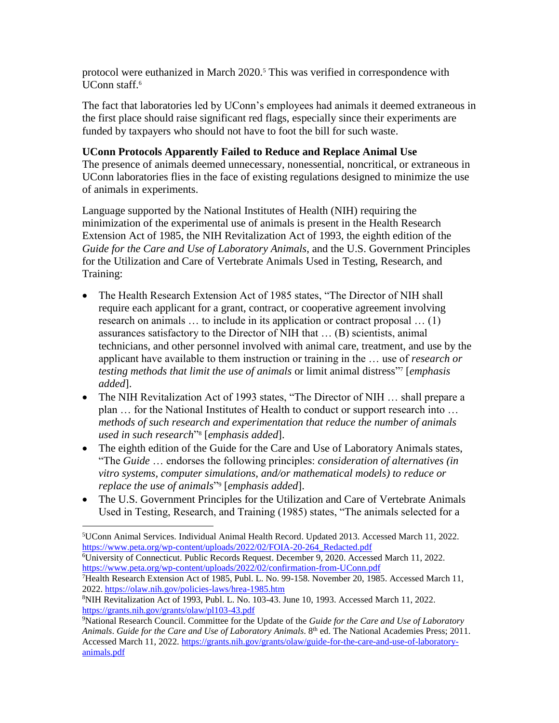protocol were euthanized in March 2020.<sup>5</sup> This was verified in correspondence with UConn staff.<sup>6</sup>

The fact that laboratories led by UConn's employees had animals it deemed extraneous in the first place should raise significant red flags, especially since their experiments are funded by taxpayers who should not have to foot the bill for such waste.

## **UConn Protocols Apparently Failed to Reduce and Replace Animal Use**

The presence of animals deemed unnecessary, nonessential, noncritical, or extraneous in UConn laboratories flies in the face of existing regulations designed to minimize the use of animals in experiments.

Language supported by the National Institutes of Health (NIH) requiring the minimization of the experimental use of animals is present in the Health Research Extension Act of 1985, the NIH Revitalization Act of 1993, the eighth edition of the *Guide for the Care and Use of Laboratory Animals*, and the U.S. Government Principles for the Utilization and Care of Vertebrate Animals Used in Testing, Research, and Training:

- The Health Research Extension Act of 1985 states, "The Director of NIH shall require each applicant for a grant, contract, or cooperative agreement involving research on animals … to include in its application or contract proposal … (1) assurances satisfactory to the Director of NIH that … (B) scientists, animal technicians, and other personnel involved with animal care, treatment, and use by the applicant have available to them instruction or training in the … use of *research or*  testing methods that limit the use of animals or limit animal distress"<sup>7</sup> [emphasis] *added*].
- The NIH Revitalization Act of 1993 states, "The Director of NIH ... shall prepare a plan … for the National Institutes of Health to conduct or support research into … *methods of such research and experimentation that reduce the number of animals used in such research*" 8 [*emphasis added*].
- The eighth edition of the Guide for the Care and Use of Laboratory Animals states, "The *Guide* … endorses the following principles: *consideration of alternatives (in vitro systems, computer simulations, and/or mathematical models) to reduce or replace the use of animals*" 9 [*emphasis added*].
- The U.S. Government Principles for the Utilization and Care of Vertebrate Animals Used in Testing, Research, and Training (1985) states, "The animals selected for a

<sup>6</sup>University of Connecticut. Public Records Request. December 9, 2020. Accessed March 11, 2022. <https://www.peta.org/wp-content/uploads/2022/02/confirmation-from-UConn.pdf>

<sup>7</sup>Health Research Extension Act of 1985, Publ. L. No. 99-158. November 20, 1985. Accessed March 11, 2022. <https://olaw.nih.gov/policies-laws/hrea-1985.htm>

 $8$ NIH Revitalization Act of 1993, Publ. L. No. 103-43. June 10, 1993. Accessed March 11, 2022. <https://grants.nih.gov/grants/olaw/pl103-43.pdf>

 $\overline{a}$ <sup>5</sup>UConn Animal Services. Individual Animal Health Record. Updated 2013. Accessed March 11, 2022. [https://www.peta.org/wp-content/uploads/2022/02/FOIA-20-264\\_Redacted.pdf](https://www.peta.org/wp-content/uploads/2022/02/FOIA-20-264_Redacted.pdf)

<sup>9</sup>National Research Council. Committee for the Update of the *Guide for the Care and Use of Laboratory Animals*. *Guide for the Care and Use of Laboratory Animals*. 8 th ed. The National Academies Press; 2011. Accessed March 11, 2022. [https://grants.nih.gov/grants/olaw/guide-for-the-care-and-use-of-laboratory](https://grants.nih.gov/grants/olaw/guide-for-the-care-and-use-of-laboratory-animals.pdf)[animals.pdf](https://grants.nih.gov/grants/olaw/guide-for-the-care-and-use-of-laboratory-animals.pdf)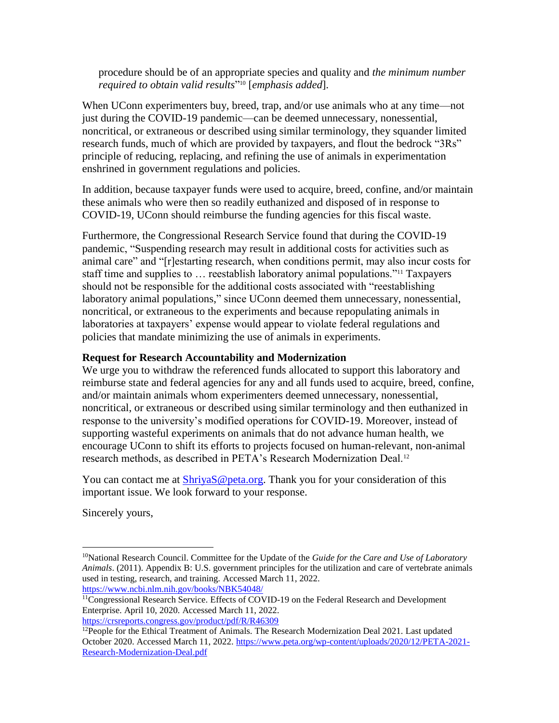procedure should be of an appropriate species and quality and *the minimum number required to obtain valid results*" <sup>10</sup> [*emphasis added*].

When UConn experimenters buy, breed, trap, and/or use animals who at any time—not just during the COVID-19 pandemic—can be deemed unnecessary, nonessential, noncritical, or extraneous or described using similar terminology, they squander limited research funds, much of which are provided by taxpayers, and flout the bedrock "3Rs" principle of reducing, replacing, and refining the use of animals in experimentation enshrined in government regulations and policies.

In addition, because taxpayer funds were used to acquire, breed, confine, and/or maintain these animals who were then so readily euthanized and disposed of in response to COVID-19, UConn should reimburse the funding agencies for this fiscal waste.

Furthermore, the Congressional Research Service found that during the COVID-19 pandemic, "Suspending research may result in additional costs for activities such as animal care" and "[r]estarting research, when conditions permit, may also incur costs for staff time and supplies to … reestablish laboratory animal populations."<sup>11</sup> Taxpayers should not be responsible for the additional costs associated with "reestablishing laboratory animal populations," since UConn deemed them unnecessary, nonessential, noncritical, or extraneous to the experiments and because repopulating animals in laboratories at taxpayers' expense would appear to violate federal regulations and policies that mandate minimizing the use of animals in experiments.

## **Request for Research Accountability and Modernization**

We urge you to withdraw the referenced funds allocated to support this laboratory and reimburse state and federal agencies for any and all funds used to acquire, breed, confine, and/or maintain animals whom experimenters deemed unnecessary, nonessential, noncritical, or extraneous or described using similar terminology and then euthanized in response to the university's modified operations for COVID-19. Moreover, instead of supporting wasteful experiments on animals that do not advance human health, we encourage UConn to shift its efforts to projects focused on human-relevant, non-animal research methods, as described in PETA's Research Modernization Deal.<sup>12</sup>

You can contact me at  $\frac{\text{ShriyaS@peta.org}}{\text{Beta.org}}$ . Thank you for your consideration of this important issue. We look forward to your response.

Sincerely yours,

 $\overline{a}$ 

<https://crsreports.congress.gov/product/pdf/R/R46309>

<sup>10</sup>National Research Council. Committee for the Update of the *Guide for the Care and Use of Laboratory Animals*. (2011). Appendix B: U.S. government principles for the utilization and care of vertebrate animals used in testing, research, and training. Accessed March 11, 2022. <https://www.ncbi.nlm.nih.gov/books/NBK54048/>

 $<sup>11</sup>$ Congressional Research Service. Effects of COVID-19 on the Federal Research and Development</sup> Enterprise. April 10, 2020. Accessed March 11, 2022.

<sup>12</sup>People for the Ethical Treatment of Animals. The Research Modernization Deal 2021*.* Last updated October 2020. Accessed March 11, 2022. [https://www.peta.org/wp-content/uploads/2020/12/PETA-2021-](https://www.peta.org/wp-content/uploads/2020/12/PETA-2021-Research-Modernization-Deal.pdf) [Research-Modernization-Deal.pdf](https://www.peta.org/wp-content/uploads/2020/12/PETA-2021-Research-Modernization-Deal.pdf)